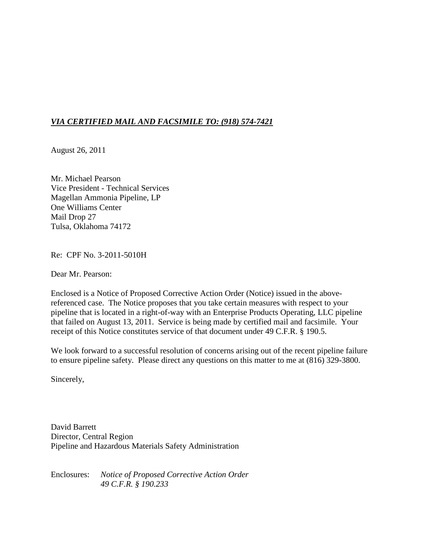# *VIA CERTIFIED MAIL AND FACSIMILE TO: (918) 574-7421*

August 26, 2011

Mr. Michael Pearson Vice President - Technical Services Magellan Ammonia Pipeline, LP One Williams Center Mail Drop 27 Tulsa, Oklahoma 74172

Re: CPF No. 3-2011-5010H

Dear Mr. Pearson:

Enclosed is a Notice of Proposed Corrective Action Order (Notice) issued in the abovereferenced case. The Notice proposes that you take certain measures with respect to your pipeline that is located in a right-of-way with an Enterprise Products Operating, LLC pipeline that failed on August 13, 2011. Service is being made by certified mail and facsimile. Your receipt of this Notice constitutes service of that document under 49 C.F.R. § 190.5.

We look forward to a successful resolution of concerns arising out of the recent pipeline failure to ensure pipeline safety. Please direct any questions on this matter to me at (816) 329-3800.

Sincerely,

David Barrett Director, Central Region Pipeline and Hazardous Materials Safety Administration

Enclosures: *Notice of Proposed Corrective Action Order 49 C.F.R. § 190.233*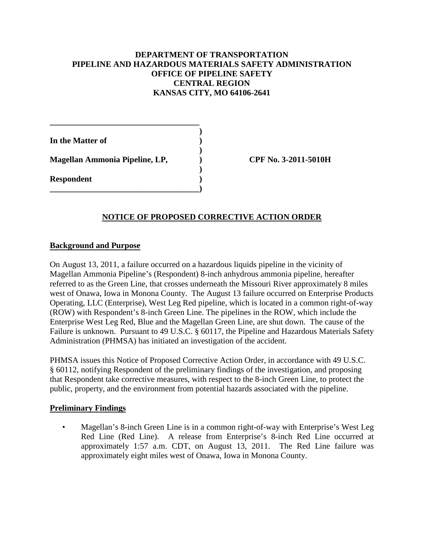# **DEPARTMENT OF TRANSPORTATION PIPELINE AND HAZARDOUS MATERIALS SAFETY ADMINISTRATION OFFICE OF PIPELINE SAFETY CENTRAL REGION KANSAS CITY, MO 64106-2641**

**)**

**)**

**)**

**In the Matter of ) Magellan Ammonia Pipeline, LP, ) CPF No. 3-2011-5010H Respondent ) \_\_\_\_\_\_\_\_\_\_\_\_\_\_\_\_\_\_\_\_\_\_\_\_\_\_\_\_\_\_\_\_\_\_\_\_)**

**\_\_\_\_\_\_\_\_\_\_\_\_\_\_\_\_\_\_\_\_\_\_\_\_\_\_\_\_\_\_\_\_\_\_\_\_**

# **NOTICE OF PROPOSED CORRECTIVE ACTION ORDER**

#### **Background and Purpose**

On August 13, 2011, a failure occurred on a hazardous liquids pipeline in the vicinity of Magellan Ammonia Pipeline's (Respondent) 8-inch anhydrous ammonia pipeline, hereafter referred to as the Green Line, that crosses underneath the Missouri River approximately 8 miles west of Onawa, Iowa in Monona County. The August 13 failure occurred on Enterprise Products Operating, LLC (Enterprise), West Leg Red pipeline, which is located in a common right-of-way (ROW) with Respondent's 8-inch Green Line. The pipelines in the ROW, which include the Enterprise West Leg Red, Blue and the Magellan Green Line, are shut down. The cause of the Failure is unknown. Pursuant to 49 U.S.C. § 60117, the Pipeline and Hazardous Materials Safety Administration (PHMSA) has initiated an investigation of the accident.

PHMSA issues this Notice of Proposed Corrective Action Order, in accordance with 49 U.S.C. § 60112, notifying Respondent of the preliminary findings of the investigation, and proposing that Respondent take corrective measures, with respect to the 8-inch Green Line, to protect the public, property, and the environment from potential hazards associated with the pipeline.

### **Preliminary Findings**

• Magellan's 8-inch Green Line is in a common right-of-way with Enterprise's West Leg Red Line (Red Line). A release from Enterprise's 8-inch Red Line occurred at approximately 1:57 a.m. CDT, on August 13, 2011. The Red Line failure was approximately eight miles west of Onawa, Iowa in Monona County.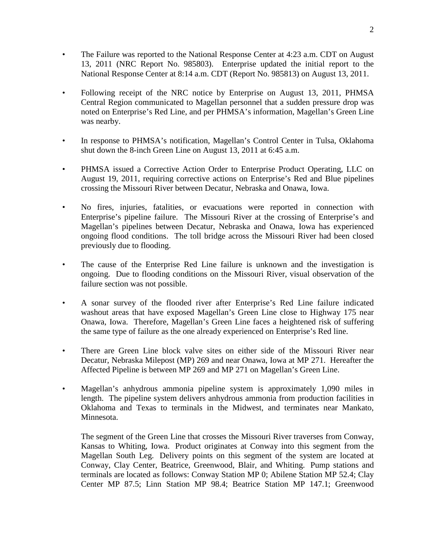- The Failure was reported to the National Response Center at 4:23 a.m. CDT on August 13, 2011 (NRC Report No. 985803). Enterprise updated the initial report to the National Response Center at 8:14 a.m. CDT (Report No. 985813) on August 13, 2011.
- Following receipt of the NRC notice by Enterprise on August 13, 2011, PHMSA Central Region communicated to Magellan personnel that a sudden pressure drop was noted on Enterprise's Red Line, and per PHMSA's information, Magellan's Green Line was nearby.
- In response to PHMSA's notification, Magellan's Control Center in Tulsa, Oklahoma shut down the 8-inch Green Line on August 13, 2011 at 6:45 a.m.
- PHMSA issued a Corrective Action Order to Enterprise Product Operating, LLC on August 19, 2011, requiring corrective actions on Enterprise's Red and Blue pipelines crossing the Missouri River between Decatur, Nebraska and Onawa, Iowa.
- No fires, injuries, fatalities, or evacuations were reported in connection with Enterprise's pipeline failure. The Missouri River at the crossing of Enterprise's and Magellan's pipelines between Decatur, Nebraska and Onawa, Iowa has experienced ongoing flood conditions. The toll bridge across the Missouri River had been closed previously due to flooding.
- The cause of the Enterprise Red Line failure is unknown and the investigation is ongoing. Due to flooding conditions on the Missouri River, visual observation of the failure section was not possible.
- A sonar survey of the flooded river after Enterprise's Red Line failure indicated washout areas that have exposed Magellan's Green Line close to Highway 175 near Onawa, Iowa. Therefore, Magellan's Green Line faces a heightened risk of suffering the same type of failure as the one already experienced on Enterprise's Red line.
- There are Green Line block valve sites on either side of the Missouri River near Decatur, Nebraska Milepost (MP) 269 and near Onawa, Iowa at MP 271. Hereafter the Affected Pipeline is between MP 269 and MP 271 on Magellan's Green Line.
- Magellan's anhydrous ammonia pipeline system is approximately 1,090 miles in length. The pipeline system delivers anhydrous ammonia from production facilities in Oklahoma and Texas to terminals in the Midwest, and terminates near Mankato, Minnesota.

The segment of the Green Line that crosses the Missouri River traverses from Conway, Kansas to Whiting, Iowa. Product originates at Conway into this segment from the Magellan South Leg. Delivery points on this segment of the system are located at Conway, Clay Center, Beatrice, Greenwood, Blair, and Whiting. Pump stations and terminals are located as follows: Conway Station MP 0; Abilene Station MP 52.4; Clay Center MP 87.5; Linn Station MP 98.4; Beatrice Station MP 147.1; Greenwood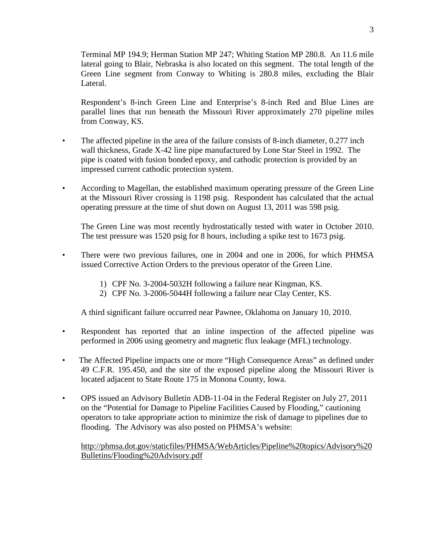Terminal MP 194.9; Herman Station MP 247; Whiting Station MP 280.8. An 11.6 mile lateral going to Blair, Nebraska is also located on this segment. The total length of the Green Line segment from Conway to Whiting is 280.8 miles, excluding the Blair Lateral.

Respondent's 8-inch Green Line and Enterprise's 8-inch Red and Blue Lines are parallel lines that run beneath the Missouri River approximately 270 pipeline miles from Conway, KS.

- The affected pipeline in the area of the failure consists of 8-inch diameter, 0.277 inch wall thickness, Grade X-42 line pipe manufactured by Lone Star Steel in 1992. The pipe is coated with fusion bonded epoxy, and cathodic protection is provided by an impressed current cathodic protection system.
- According to Magellan, the established maximum operating pressure of the Green Line at the Missouri River crossing is 1198 psig. Respondent has calculated that the actual operating pressure at the time of shut down on August 13, 2011 was 598 psig.

The Green Line was most recently hydrostatically tested with water in October 2010. The test pressure was 1520 psig for 8 hours, including a spike test to 1673 psig.

- There were two previous failures, one in 2004 and one in 2006, for which PHMSA issued Corrective Action Orders to the previous operator of the Green Line.
	- 1) CPF No. 3-2004-5032H following a failure near Kingman, KS.
	- 2) CPF No. 3-2006-5044H following a failure near Clay Center, KS.

A third significant failure occurred near Pawnee, Oklahoma on January 10, 2010.

- Respondent has reported that an inline inspection of the affected pipeline was performed in 2006 using geometry and magnetic flux leakage (MFL) technology.
- The Affected Pipeline impacts one or more "High Consequence Areas" as defined under 49 C.F.R. 195.450, and the site of the exposed pipeline along the Missouri River is located adjacent to State Route 175 in Monona County, Iowa.
- OPS issued an Advisory Bulletin ADB-11-04 in the Federal Register on July 27, 2011 on the "Potential for Damage to Pipeline Facilities Caused by Flooding," cautioning operators to take appropriate action to minimize the risk of damage to pipelines due to flooding. The Advisory was also posted on PHMSA's website:

http://phmsa.dot.gov/staticfiles/PHMSA/WebArticles/Pipeline%20topics/Advisory%20 Bulletins/Flooding%20Advisory.pdf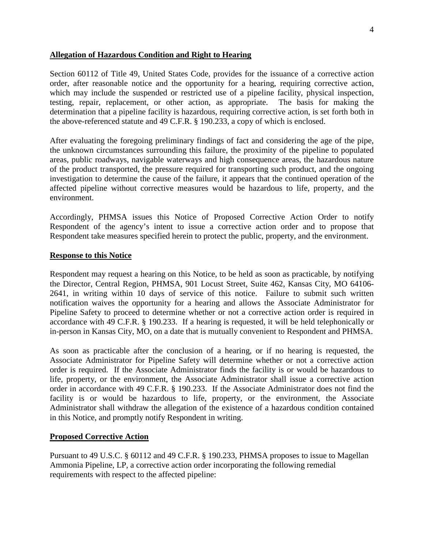### **Allegation of Hazardous Condition and Right to Hearing**

Section 60112 of Title 49, United States Code, provides for the issuance of a corrective action order, after reasonable notice and the opportunity for a hearing, requiring corrective action, which may include the suspended or restricted use of a pipeline facility, physical inspection, testing, repair, replacement, or other action, as appropriate. The basis for making the determination that a pipeline facility is hazardous, requiring corrective action, is set forth both in the above-referenced statute and 49 C.F.R. § 190.233, a copy of which is enclosed.

After evaluating the foregoing preliminary findings of fact and considering the age of the pipe, the unknown circumstances surrounding this failure, the proximity of the pipeline to populated areas, public roadways, navigable waterways and high consequence areas, the hazardous nature of the product transported, the pressure required for transporting such product, and the ongoing investigation to determine the cause of the failure, it appears that the continued operation of the affected pipeline without corrective measures would be hazardous to life, property, and the environment.

Accordingly, PHMSA issues this Notice of Proposed Corrective Action Order to notify Respondent of the agency's intent to issue a corrective action order and to propose that Respondent take measures specified herein to protect the public, property, and the environment.

#### **Response to this Notice**

Respondent may request a hearing on this Notice, to be held as soon as practicable, by notifying the Director, Central Region, PHMSA, 901 Locust Street, Suite 462, Kansas City, MO 64106- 2641, in writing within 10 days of service of this notice. Failure to submit such written notification waives the opportunity for a hearing and allows the Associate Administrator for Pipeline Safety to proceed to determine whether or not a corrective action order is required in accordance with 49 C.F.R. § 190.233. If a hearing is requested, it will be held telephonically or in-person in Kansas City, MO, on a date that is mutually convenient to Respondent and PHMSA.

As soon as practicable after the conclusion of a hearing, or if no hearing is requested, the Associate Administrator for Pipeline Safety will determine whether or not a corrective action order is required. If the Associate Administrator finds the facility is or would be hazardous to life, property, or the environment, the Associate Administrator shall issue a corrective action order in accordance with 49 C.F.R. § 190.233. If the Associate Administrator does not find the facility is or would be hazardous to life, property, or the environment, the Associate Administrator shall withdraw the allegation of the existence of a hazardous condition contained in this Notice, and promptly notify Respondent in writing.

### **Proposed Corrective Action**

Pursuant to 49 U.S.C. § 60112 and 49 C.F.R. § 190.233, PHMSA proposes to issue to Magellan Ammonia Pipeline, LP, a corrective action order incorporating the following remedial requirements with respect to the affected pipeline: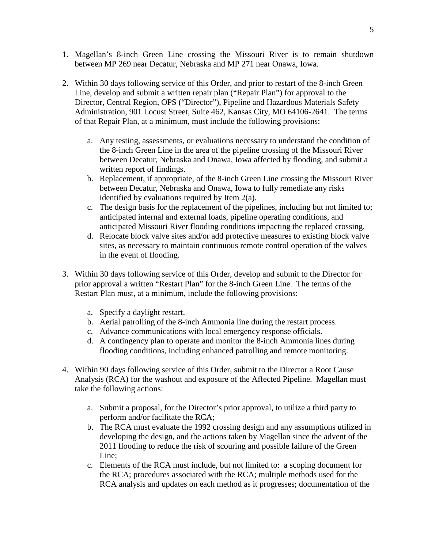- 1. Magellan's 8-inch Green Line crossing the Missouri River is to remain shutdown between MP 269 near Decatur, Nebraska and MP 271 near Onawa, Iowa.
- 2. Within 30 days following service of this Order, and prior to restart of the 8-inch Green Line, develop and submit a written repair plan ("Repair Plan") for approval to the Director, Central Region, OPS ("Director"), Pipeline and Hazardous Materials Safety Administration, 901 Locust Street, Suite 462, Kansas City, MO 64106-2641. The terms of that Repair Plan, at a minimum, must include the following provisions:
	- a. Any testing, assessments, or evaluations necessary to understand the condition of the 8-inch Green Line in the area of the pipeline crossing of the Missouri River between Decatur, Nebraska and Onawa, Iowa affected by flooding, and submit a written report of findings.
	- b. Replacement, if appropriate, of the 8-inch Green Line crossing the Missouri River between Decatur, Nebraska and Onawa, Iowa to fully remediate any risks identified by evaluations required by Item 2(a).
	- c. The design basis for the replacement of the pipelines, including but not limited to; anticipated internal and external loads, pipeline operating conditions, and anticipated Missouri River flooding conditions impacting the replaced crossing.
	- d. Relocate block valve sites and/or add protective measures to existing block valve sites, as necessary to maintain continuous remote control operation of the valves in the event of flooding.
- 3. Within 30 days following service of this Order, develop and submit to the Director for prior approval a written "Restart Plan" for the 8-inch Green Line. The terms of the Restart Plan must, at a minimum, include the following provisions:
	- a. Specify a daylight restart.
	- b. Aerial patrolling of the 8-inch Ammonia line during the restart process.
	- c. Advance communications with local emergency response officials.
	- d. A contingency plan to operate and monitor the 8-inch Ammonia lines during flooding conditions, including enhanced patrolling and remote monitoring.
- 4. Within 90 days following service of this Order, submit to the Director a Root Cause Analysis (RCA) for the washout and exposure of the Affected Pipeline. Magellan must take the following actions:
	- a. Submit a proposal, for the Director's prior approval, to utilize a third party to perform and/or facilitate the RCA;
	- b. The RCA must evaluate the 1992 crossing design and any assumptions utilized in developing the design, and the actions taken by Magellan since the advent of the 2011 flooding to reduce the risk of scouring and possible failure of the Green Line;
	- c. Elements of the RCA must include, but not limited to: a scoping document for the RCA; procedures associated with the RCA; multiple methods used for the RCA analysis and updates on each method as it progresses; documentation of the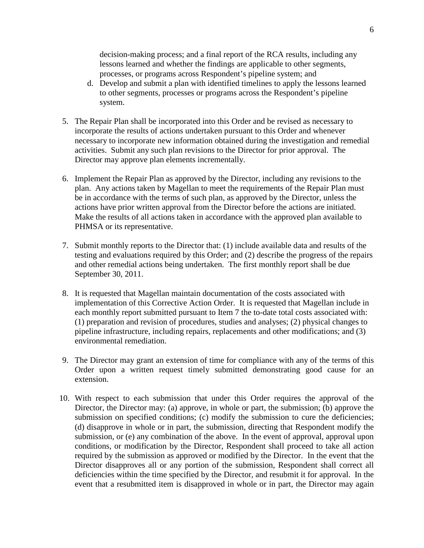decision-making process; and a final report of the RCA results, including any lessons learned and whether the findings are applicable to other segments, processes, or programs across Respondent's pipeline system; and

- d. Develop and submit a plan with identified timelines to apply the lessons learned to other segments, processes or programs across the Respondent's pipeline system.
- 5. The Repair Plan shall be incorporated into this Order and be revised as necessary to incorporate the results of actions undertaken pursuant to this Order and whenever necessary to incorporate new information obtained during the investigation and remedial activities. Submit any such plan revisions to the Director for prior approval. The Director may approve plan elements incrementally.
- 6. Implement the Repair Plan as approved by the Director, including any revisions to the plan. Any actions taken by Magellan to meet the requirements of the Repair Plan must be in accordance with the terms of such plan, as approved by the Director, unless the actions have prior written approval from the Director before the actions are initiated. Make the results of all actions taken in accordance with the approved plan available to PHMSA or its representative.
- 7. Submit monthly reports to the Director that: (1) include available data and results of the testing and evaluations required by this Order; and (2) describe the progress of the repairs and other remedial actions being undertaken. The first monthly report shall be due September 30, 2011.
- 8. It is requested that Magellan maintain documentation of the costs associated with implementation of this Corrective Action Order. It is requested that Magellan include in each monthly report submitted pursuant to Item 7 the to-date total costs associated with: (1) preparation and revision of procedures, studies and analyses; (2) physical changes to pipeline infrastructure, including repairs, replacements and other modifications; and (3) environmental remediation.
- 9. The Director may grant an extension of time for compliance with any of the terms of this Order upon a written request timely submitted demonstrating good cause for an extension.
- 10. With respect to each submission that under this Order requires the approval of the Director, the Director may: (a) approve, in whole or part, the submission; (b) approve the submission on specified conditions; (c) modify the submission to cure the deficiencies; (d) disapprove in whole or in part, the submission, directing that Respondent modify the submission, or (e) any combination of the above. In the event of approval, approval upon conditions, or modification by the Director, Respondent shall proceed to take all action required by the submission as approved or modified by the Director. In the event that the Director disapproves all or any portion of the submission, Respondent shall correct all deficiencies within the time specified by the Director, and resubmit it for approval. In the event that a resubmitted item is disapproved in whole or in part, the Director may again